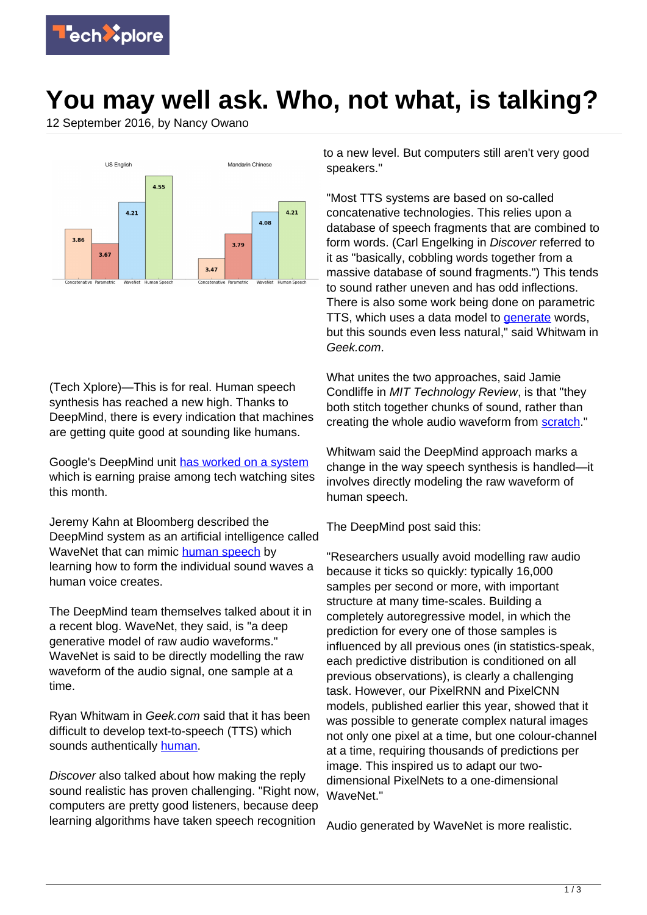

## **You may well ask. Who, not what, is talking?**

12 September 2016, by Nancy Owano



(Tech Xplore)—This is for real. Human speech synthesis has reached a new high. Thanks to DeepMind, there is every indication that machines are getting quite good at sounding like humans.

Google's DeepMind unit [has worked on a system](https://deepmind.com/blog/wavenet-generative-model-raw-audio/) which is earning praise among tech watching sites this month.

Jeremy Kahn at Bloomberg described the DeepMind system as an artificial intelligence called WaveNet that can mimic [human speech](https://techxplore.com/tags/human+speech/) by learning how to form the individual sound waves a human voice creates.

The DeepMind team themselves talked about it in a recent blog. WaveNet, they said, is "a deep generative model of raw audio waveforms." WaveNet is said to be directly modelling the raw waveform of the audio signal, one sample at a time.

Ryan Whitwam in Geek.com said that it has been difficult to develop text-to-speech (TTS) which sounds authentically [human.](http://www.geek.com/science/googles-deepmind-develops-creepy-ultra-realistic-human-speech-synthesis-1670362/)

Discover also talked about how making the reply sound realistic has proven challenging. "Right now, computers are pretty good listeners, because deep learning algorithms have taken speech recognition

to a new level. But computers still aren't very good speakers."

"Most TTS systems are based on so-called concatenative technologies. This relies upon a database of speech fragments that are combined to form words. (Carl Engelking in Discover referred to it as "basically, cobbling words together from a massive database of sound fragments.") This tends to sound rather uneven and has odd inflections. There is also some work being done on parametric TTS, which uses a data model to [generate](http://www.geek.com/science/googles-deepmind-develops-creepy-ultra-realistic-human-speech-synthesis-1670362/) words, but this sounds even less natural," said Whitwam in Geek.com.

What unites the two approaches, said Jamie Condliffe in MIT Technology Review, is that "they both stitch together chunks of sound, rather than creating the whole audio waveform from [scratch](https://www.technologyreview.com/s/602343/face-of-a-robot-voice-of-an-angel/)."

Whitwam said the DeepMind approach marks a change in the way speech synthesis is handled—it involves directly modeling the raw waveform of human speech.

The DeepMind post said this:

"Researchers usually avoid modelling raw audio because it ticks so quickly: typically 16,000 samples per second or more, with important structure at many time-scales. Building a completely autoregressive model, in which the prediction for every one of those samples is influenced by all previous ones (in statistics-speak, each predictive distribution is conditioned on all previous observations), is clearly a challenging task. However, our PixelRNN and PixelCNN models, published earlier this year, showed that it was possible to generate complex natural images not only one pixel at a time, but one colour-channel at a time, requiring thousands of predictions per image. This inspired us to adapt our twodimensional PixelNets to a one-dimensional WaveNet."

Audio generated by WaveNet is more realistic.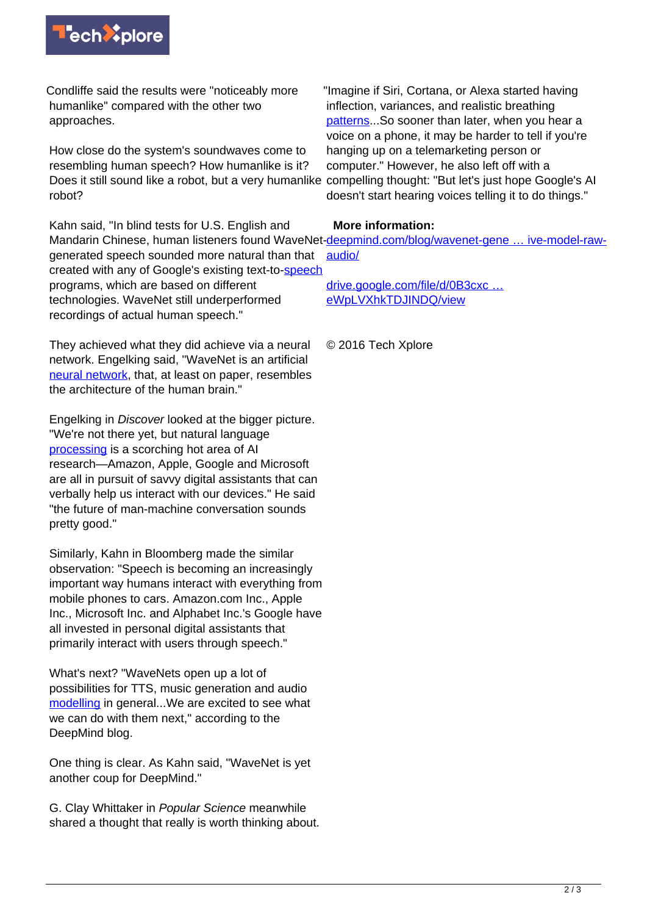

Condliffe said the results were "noticeably more humanlike" compared with the other two approaches.

How close do the system's soundwaves come to resembling human speech? How humanlike is it? Does it still sound like a robot, but a very humanlike robot?

Kahn said, "In blind tests for U.S. English and generated speech sounded more natural than that created with any of Google's existing text-to[-speech](http://www.bloomberg.com/news/articles/2016-09-09/google-s-ai-brainiacs-achieve-speech-generation-breakthrough) programs, which are based on different technologies. WaveNet still underperformed recordings of actual human speech."

They achieved what they did achieve via a neural network. Engelking said, "WaveNet is an artificial [neural network](https://techxplore.com/tags/neural+network/), that, at least on paper, resembles the architecture of the human brain."

Engelking in Discover looked at the bigger picture. "We're not there yet, but natural language [processing](http://blogs.discovermagazine.com/d-brief/2016/09/09/wavenet-google-deepmind-speech-generation/#.V9WDypiECUn) is a scorching hot area of AI research—Amazon, Apple, Google and Microsoft are all in pursuit of savvy digital assistants that can verbally help us interact with our devices." He said "the future of man-machine conversation sounds pretty good."

Similarly, Kahn in Bloomberg made the similar observation: "Speech is becoming an increasingly important way humans interact with everything from mobile phones to cars. Amazon.com Inc., Apple Inc., Microsoft Inc. and Alphabet Inc.'s Google have all invested in personal digital assistants that primarily interact with users through speech."

What's next? "WaveNets open up a lot of possibilities for TTS, music generation and audio [modelling](https://deepmind.com/blog/wavenet-generative-model-raw-audio/) in general...We are excited to see what we can do with them next," according to the DeepMind blog.

One thing is clear. As Kahn said, "WaveNet is yet another coup for DeepMind."

G. Clay Whittaker in Popular Science meanwhile shared a thought that really is worth thinking about.

"Imagine if Siri, Cortana, or Alexa started having inflection, variances, and realistic breathing [patterns](http://www.popsci.com/googles-making-it-harder-to-pick-out-fake-voices?dom=rss-default&src=syn)...So sooner than later, when you hear a voice on a phone, it may be harder to tell if you're hanging up on a telemarketing person or computer." However, he also left off with a compelling thought: "But let's just hope Google's AI doesn't start hearing voices telling it to do things."

## **More information:**

Mandarin Chinese, human listeners found WaveNet-deepmind.com/blog/wavenet-gene ... ive-model-raw[audio/](https://deepmind.com/blog/wavenet-generative-model-raw-audio/)

> [drive.google.com/file/d/0B3cxc …](https://drive.google.com/file/d/0B3cxcnOkPx9AeWpLVXhkTDJINDQ/view) [eWpLVXhkTDJINDQ/view](https://drive.google.com/file/d/0B3cxcnOkPx9AeWpLVXhkTDJINDQ/view)

© 2016 Tech Xplore